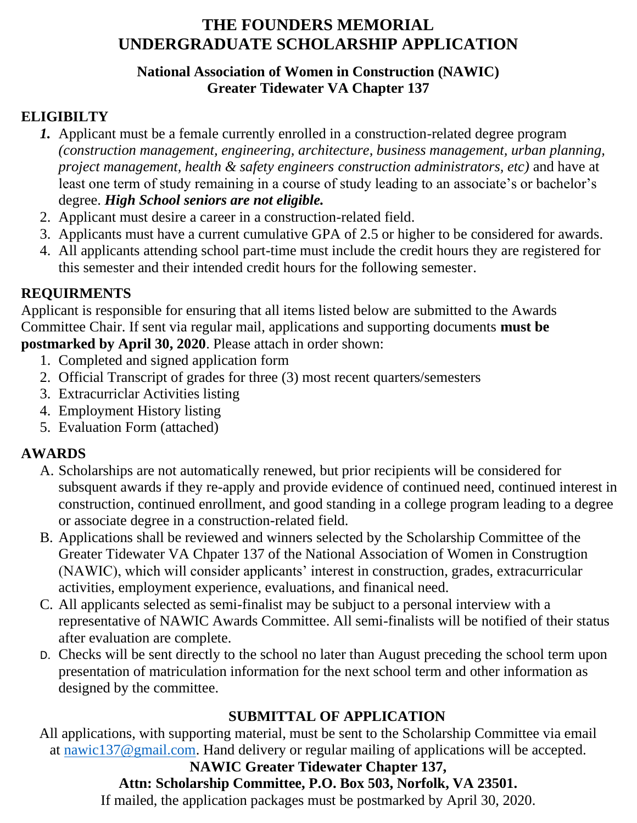### **National Association of Women in Construction (NAWIC) Greater Tidewater VA Chapter 137**

# **ELIGIBILTY**

- *1.* Applicant must be a female currently enrolled in a construction-related degree program *(construction management, engineering, architecture, business management, urban planning, project management, health & safety engineers construction administrators, etc)* and have at least one term of study remaining in a course of study leading to an associate's or bachelor's degree. *High School seniors are not eligible.*
- 2. Applicant must desire a career in a construction-related field.
- 3. Applicants must have a current cumulative GPA of 2.5 or higher to be considered for awards.
- 4. All applicants attending school part-time must include the credit hours they are registered for this semester and their intended credit hours for the following semester.

# **REQUIRMENTS**

Applicant is responsible for ensuring that all items listed below are submitted to the Awards Committee Chair. If sent via regular mail, applications and supporting documents **must be postmarked by April 30, 2020**. Please attach in order shown:

- 1. Completed and signed application form
- 2. Official Transcript of grades for three (3) most recent quarters/semesters
- 3. Extracurriclar Activities listing
- 4. Employment History listing
- 5. Evaluation Form (attached)

# **AWARDS**

- A. Scholarships are not automatically renewed, but prior recipients will be considered for subsquent awards if they re-apply and provide evidence of continued need, continued interest in construction, continued enrollment, and good standing in a college program leading to a degree or associate degree in a construction-related field.
- B. Applications shall be reviewed and winners selected by the Scholarship Committee of the Greater Tidewater VA Chpater 137 of the National Association of Women in Construgtion (NAWIC), which will consider applicants' interest in construction, grades, extracurricular activities, employment experience, evaluations, and finanical need.
- C. All applicants selected as semi-finalist may be subjuct to a personal interview with a representative of NAWIC Awards Committee. All semi-finalists will be notified of their status after evaluation are complete.
- D. Checks will be sent directly to the school no later than August preceding the school term upon presentation of matriculation information for the next school term and other information as designed by the committee.

# **SUBMITTAL OF APPLICATION**

All applications, with supporting material, must be sent to the Scholarship Committee via email at [nawic137@gmail.com.](mailto:nawic137@gmail.com) Hand delivery or regular mailing of applications will be accepted.

# **NAWIC Greater Tidewater Chapter 137,**

# **Attn: Scholarship Committee, P.O. Box 503, Norfolk, VA 23501.**

If mailed, the application packages must be postmarked by April 30, 2020.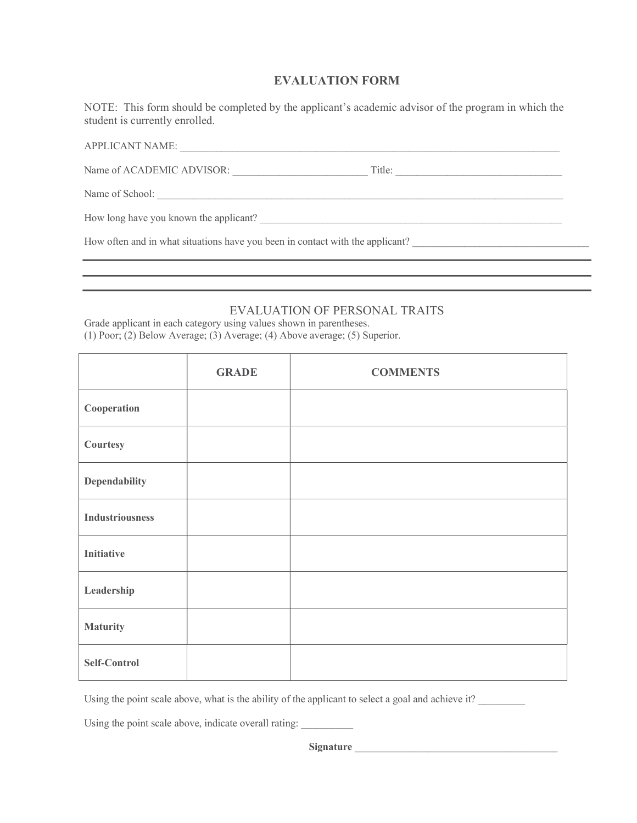#### EVALUATION FORM

NOTE: This form should be completed by the applicant's academic advisor of the program in which the student is currently enrolled.

| <b>APPLICANT NAME:</b>                                                        |        |  |
|-------------------------------------------------------------------------------|--------|--|
| Name of ACADEMIC ADVISOR:                                                     | Title: |  |
| Name of School:                                                               |        |  |
| How long have you known the applicant?                                        |        |  |
| How often and in what situations have you been in contact with the applicant? |        |  |
|                                                                               |        |  |

#### EVALUATION OF PERSONAL TRAITS

Grade applicant in each category using values shown in parentheses. (1) Poor; (2) Below Average; (3) Average; (4) Above average; (5) Superior.

|                        | <b>GRADE</b> | <b>COMMENTS</b> |
|------------------------|--------------|-----------------|
| Cooperation            |              |                 |
| Courtesy               |              |                 |
| <b>Dependability</b>   |              |                 |
| <b>Industriousness</b> |              |                 |
| <b>Initiative</b>      |              |                 |
| Leadership             |              |                 |
| <b>Maturity</b>        |              |                 |
| Self-Control           |              |                 |

Using the point scale above, what is the ability of the applicant to select a goal and achieve it?

Using the point scale above, indicate overall rating:

Signature \_\_\_\_\_\_\_\_\_\_\_\_\_\_\_\_\_\_\_\_\_\_\_\_\_\_\_\_\_\_\_\_\_\_\_\_\_\_\_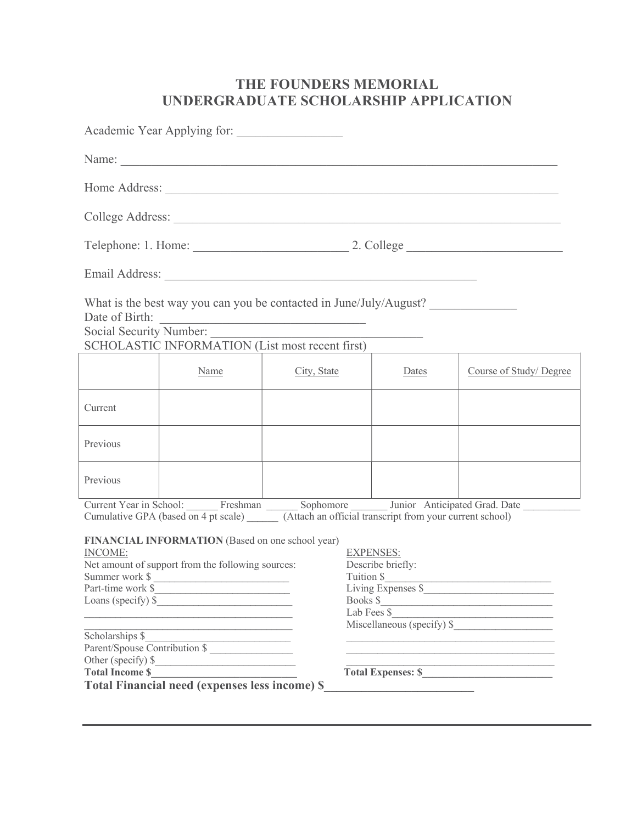|                                                                 | Academic Year Applying for:                                                                                                                                |                                                  |                                                                                          |                                                                          |
|-----------------------------------------------------------------|------------------------------------------------------------------------------------------------------------------------------------------------------------|--------------------------------------------------|------------------------------------------------------------------------------------------|--------------------------------------------------------------------------|
|                                                                 |                                                                                                                                                            |                                                  |                                                                                          |                                                                          |
|                                                                 |                                                                                                                                                            |                                                  |                                                                                          |                                                                          |
|                                                                 |                                                                                                                                                            |                                                  |                                                                                          |                                                                          |
|                                                                 |                                                                                                                                                            |                                                  |                                                                                          |                                                                          |
|                                                                 |                                                                                                                                                            |                                                  |                                                                                          |                                                                          |
| Date of Birth:                                                  | What is the best way you can you be contacted in June/July/August?<br>Social Security Number:                                                              | <u> 1989 - Johann Barbara, martxa amerikan p</u> |                                                                                          |                                                                          |
|                                                                 | SCHOLASTIC INFORMATION (List most recent first)                                                                                                            |                                                  |                                                                                          |                                                                          |
|                                                                 | Name                                                                                                                                                       | City, State                                      | Dates                                                                                    | Course of Study/Degree                                                   |
| Current                                                         |                                                                                                                                                            |                                                  |                                                                                          |                                                                          |
| Previous                                                        |                                                                                                                                                            |                                                  |                                                                                          |                                                                          |
| Previous                                                        |                                                                                                                                                            |                                                  |                                                                                          |                                                                          |
|                                                                 | Cumulative GPA (based on 4 pt scale) (Attach an official transcript from your current school)                                                              |                                                  |                                                                                          | Current Year in School: Freshman Sophomore Junior Anticipated Grad. Date |
| <b>INCOME:</b><br>Summer work \$<br>Part-time work \$           | FINANCIAL INFORMATION (Based on one school year)<br>Net amount of support from the following sources:<br>Loans (specify) $\frac{1}{2}$                     | Books \$                                         | <b>EXPENSES:</b><br>Describe briefly:<br>Tuition \$<br>Living Expenses \$<br>Lab Fees \$ | Miscellaneous (specify) \$                                               |
| Scholarships \$<br>Other (specify) \$<br><b>Total Income \$</b> | Parent/Spouse Contribution \$<br><u> 1989 - Johann John Stein, mars an deus Frankryk († 1958)</u><br><b>Total Financial need (expenses less income) \$</b> |                                                  |                                                                                          | Total Expenses: \$                                                       |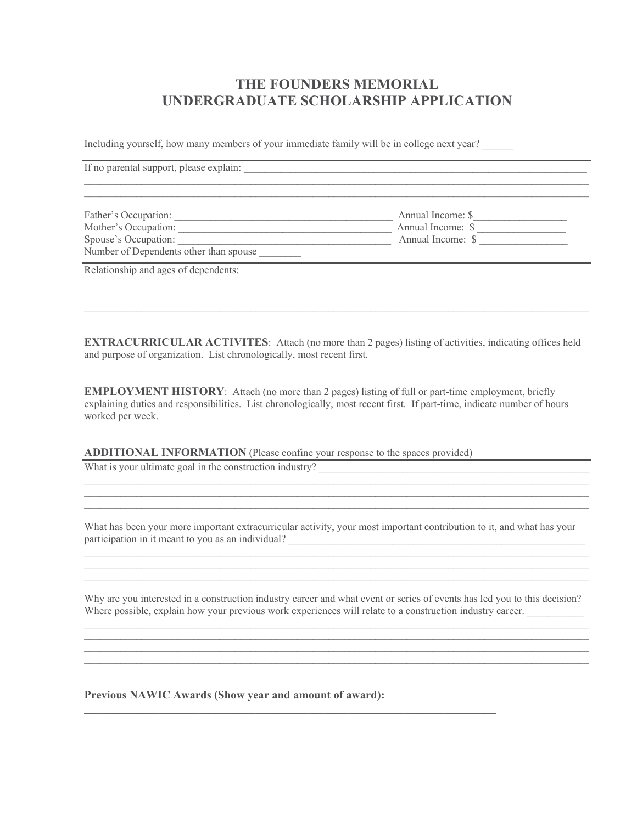Including yourself, how many members of your immediate family will be in college next year?

| If no parental support, please explain:                        |                   |  |
|----------------------------------------------------------------|-------------------|--|
|                                                                |                   |  |
| Father's Occupation:                                           | Annual Income: \$ |  |
| Mother's Occupation:                                           | Annual Income: \$ |  |
| Spouse's Occupation:<br>Number of Dependents other than spouse | Annual Income: \$ |  |

Relationship and ages of dependents:<br>  $\blacksquare$ 

EXTRACURRICULAR ACTIVITES: Attach (no more than 2 pages) listing of activities, indicating offices held and purpose of organization. List chronologically, most recent first.

EMPLOYMENT HISTORY: Attach (no more than 2 pages) listing of full or part-time employment, briefly explaining duties and responsibilities. List chronologically, most recent first. If part-time, indicate number of hours worked per week.

ADDITIONAL INFORMATION (Please confine your response to the spaces provided)

What is your ultimate goal in the construction industry?

What has been your more important extracurricular activity, your most important contribution to it, and what has your participation in it meant to you as an individual?

Why are you interested in a construction industry career and what event or series of events has led you to this decision? Where possible, explain how your previous work experiences will relate to a construction industry career.

Previous NAWIC Awards (Show year and amount of award):